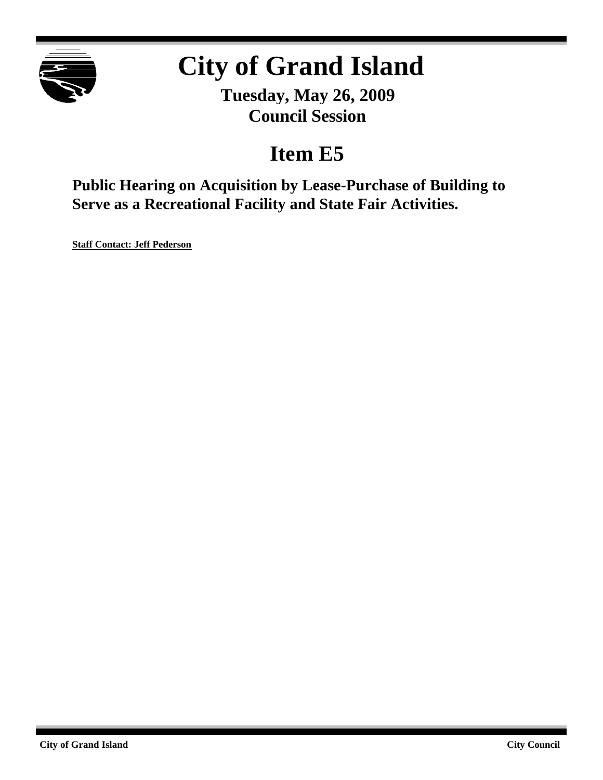

# **City of Grand Island**

**Tuesday, May 26, 2009 Council Session**

## **Item E5**

**Public Hearing on Acquisition by Lease-Purchase of Building to Serve as a Recreational Facility and State Fair Activities.**

**Staff Contact: Jeff Pederson**